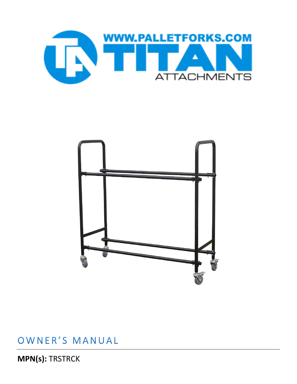



## OWNER'S MANUAL

**MPN(s): TRSTRCK**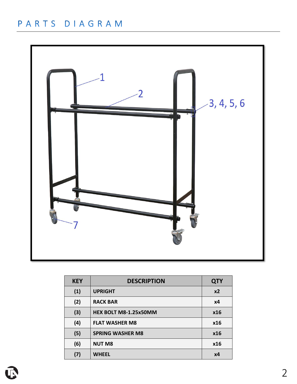## PARTS DIAGRAM



| <b>KEY</b> | <b>DESCRIPTION</b>           | <b>QTY</b>     |
|------------|------------------------------|----------------|
| (1)        | <b>UPRIGHT</b>               | x <sub>2</sub> |
| (2)        | <b>RACK BAR</b>              | х4             |
| (3)        | <b>HEX BOLT M8-1.25x50MM</b> | x16            |
| (4)        | <b>FLAT WASHER M8</b>        | x16            |
| (5)        | <b>SPRING WASHER M8</b>      | x16            |
| (6)        | <b>NUT M8</b>                | x16            |
| (7)        | <b>WHEEL</b>                 | x4             |